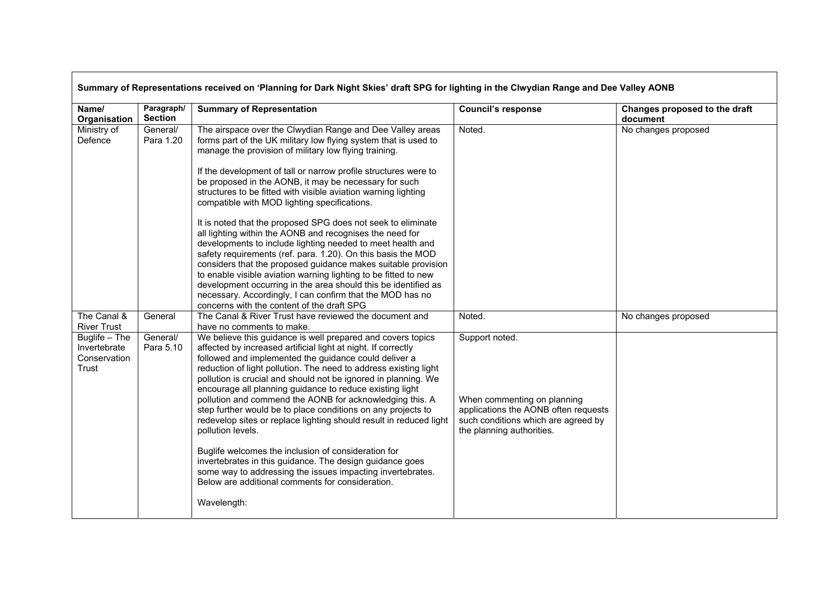| Name/<br>Organisation                                               | Paragraph/<br><b>Section</b> | <b>Summary of Representation</b>                                                                                                                                                                                                                                                                                                                                                                                                                                                                                                                                                                                                                                                                                                                                                                                                                                                                                                                                                                               | <b>Council's response</b>                                                                                                                                 | Changes proposed to the draft<br>document |
|---------------------------------------------------------------------|------------------------------|----------------------------------------------------------------------------------------------------------------------------------------------------------------------------------------------------------------------------------------------------------------------------------------------------------------------------------------------------------------------------------------------------------------------------------------------------------------------------------------------------------------------------------------------------------------------------------------------------------------------------------------------------------------------------------------------------------------------------------------------------------------------------------------------------------------------------------------------------------------------------------------------------------------------------------------------------------------------------------------------------------------|-----------------------------------------------------------------------------------------------------------------------------------------------------------|-------------------------------------------|
| Ministry of<br>Defence                                              | General/<br>Para 1.20        | The airspace over the Clwydian Range and Dee Valley areas<br>forms part of the UK military low flying system that is used to<br>manage the provision of military low flying training.<br>If the development of tall or narrow profile structures were to<br>be proposed in the AONB, it may be necessary for such<br>structures to be fitted with visible aviation warning lighting<br>compatible with MOD lighting specifications.<br>It is noted that the proposed SPG does not seek to eliminate<br>all lighting within the AONB and recognises the need for<br>developments to include lighting needed to meet health and<br>safety requirements (ref. para. 1.20). On this basis the MOD<br>considers that the proposed guidance makes suitable provision<br>to enable visible aviation warning lighting to be fitted to new<br>development occurring in the area should this be identified as<br>necessary. Accordingly, I can confirm that the MOD has no<br>concerns with the content of the draft SPG | Noted.                                                                                                                                                    | No changes proposed                       |
| The Canal &<br><b>River Trust</b>                                   | General                      | The Canal & River Trust have reviewed the document and<br>have no comments to make.                                                                                                                                                                                                                                                                                                                                                                                                                                                                                                                                                                                                                                                                                                                                                                                                                                                                                                                            | Noted.                                                                                                                                                    | No changes proposed                       |
| $\overline{$ Buglife – The<br>Invertebrate<br>Conservation<br>Trust | General/<br>Para 5.10        | We believe this guidance is well prepared and covers topics<br>affected by increased artificial light at night. If correctly<br>followed and implemented the guidance could deliver a<br>reduction of light pollution. The need to address existing light<br>pollution is crucial and should not be ignored in planning. We<br>encourage all planning guidance to reduce existing light<br>pollution and commend the AONB for acknowledging this. A<br>step further would be to place conditions on any projects to<br>redevelop sites or replace lighting should result in reduced light<br>pollution levels.<br>Buglife welcomes the inclusion of consideration for<br>invertebrates in this guidance. The design guidance goes<br>some way to addressing the issues impacting invertebrates.<br>Below are additional comments for consideration.<br>Wavelength:                                                                                                                                             | Support noted.<br>When commenting on planning<br>applications the AONB often requests<br>such conditions which are agreed by<br>the planning authorities. |                                           |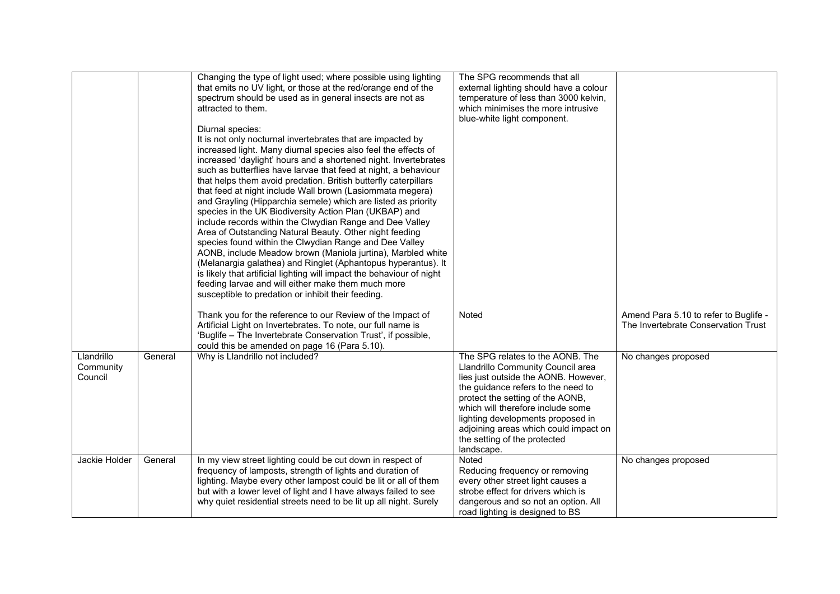|                                    |         | Changing the type of light used; where possible using lighting<br>that emits no UV light, or those at the red/orange end of the<br>spectrum should be used as in general insects are not as<br>attracted to them.<br>Diurnal species:<br>It is not only nocturnal invertebrates that are impacted by<br>increased light. Many diurnal species also feel the effects of<br>increased 'daylight' hours and a shortened night. Invertebrates<br>such as butterflies have larvae that feed at night, a behaviour<br>that helps them avoid predation. British butterfly caterpillars<br>that feed at night include Wall brown (Lasiommata megera)<br>and Grayling (Hipparchia semele) which are listed as priority<br>species in the UK Biodiversity Action Plan (UKBAP) and<br>include records within the Clwydian Range and Dee Valley<br>Area of Outstanding Natural Beauty. Other night feeding<br>species found within the Clwydian Range and Dee Valley<br>AONB, include Meadow brown (Maniola jurtina), Marbled white<br>(Melanargia galathea) and Ringlet (Aphantopus hyperantus). It<br>is likely that artificial lighting will impact the behaviour of night<br>feeding larvae and will either make them much more<br>susceptible to predation or inhibit their feeding. | The SPG recommends that all<br>external lighting should have a colour<br>temperature of less than 3000 kelvin,<br>which minimises the more intrusive<br>blue-white light component.                                                                                                                                                                      |                                                                              |
|------------------------------------|---------|-------------------------------------------------------------------------------------------------------------------------------------------------------------------------------------------------------------------------------------------------------------------------------------------------------------------------------------------------------------------------------------------------------------------------------------------------------------------------------------------------------------------------------------------------------------------------------------------------------------------------------------------------------------------------------------------------------------------------------------------------------------------------------------------------------------------------------------------------------------------------------------------------------------------------------------------------------------------------------------------------------------------------------------------------------------------------------------------------------------------------------------------------------------------------------------------------------------------------------------------------------------------------------|----------------------------------------------------------------------------------------------------------------------------------------------------------------------------------------------------------------------------------------------------------------------------------------------------------------------------------------------------------|------------------------------------------------------------------------------|
|                                    |         | Thank you for the reference to our Review of the Impact of<br>Artificial Light on Invertebrates. To note, our full name is<br>'Buglife - The Invertebrate Conservation Trust', if possible,<br>could this be amended on page 16 (Para 5.10).                                                                                                                                                                                                                                                                                                                                                                                                                                                                                                                                                                                                                                                                                                                                                                                                                                                                                                                                                                                                                                  | Noted                                                                                                                                                                                                                                                                                                                                                    | Amend Para 5.10 to refer to Buglife -<br>The Invertebrate Conservation Trust |
| Llandrillo<br>Community<br>Council | General | Why is Llandrillo not included?                                                                                                                                                                                                                                                                                                                                                                                                                                                                                                                                                                                                                                                                                                                                                                                                                                                                                                                                                                                                                                                                                                                                                                                                                                               | The SPG relates to the AONB. The<br>Llandrillo Community Council area<br>lies just outside the AONB. However,<br>the guidance refers to the need to<br>protect the setting of the AONB,<br>which will therefore include some<br>lighting developments proposed in<br>adjoining areas which could impact on<br>the setting of the protected<br>landscape. | No changes proposed                                                          |
| Jackie Holder                      | General | In my view street lighting could be cut down in respect of<br>frequency of lamposts, strength of lights and duration of<br>lighting. Maybe every other lampost could be lit or all of them<br>but with a lower level of light and I have always failed to see<br>why quiet residential streets need to be lit up all night. Surely                                                                                                                                                                                                                                                                                                                                                                                                                                                                                                                                                                                                                                                                                                                                                                                                                                                                                                                                            | Noted<br>Reducing frequency or removing<br>every other street light causes a<br>strobe effect for drivers which is<br>dangerous and so not an option. All<br>road lighting is designed to BS                                                                                                                                                             | No changes proposed                                                          |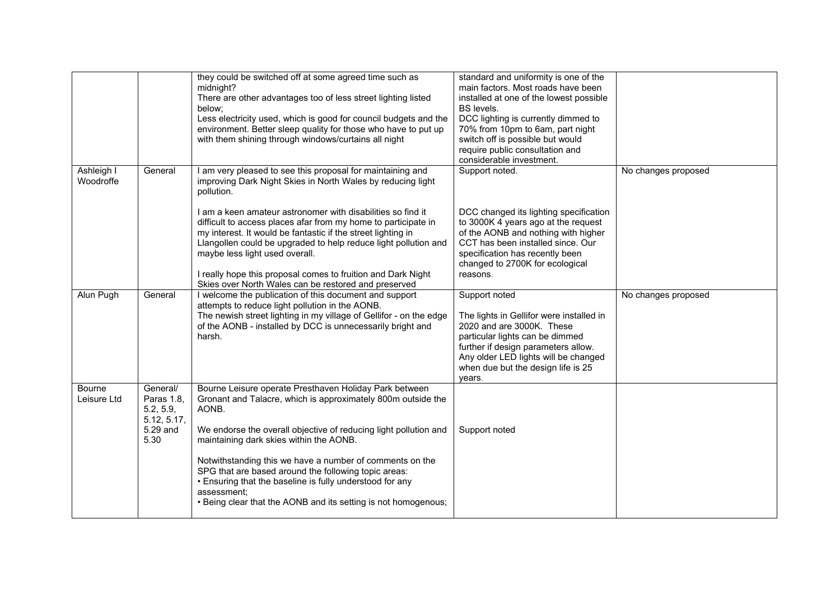|                              |                                                                        | they could be switched off at some agreed time such as<br>midnight?<br>There are other advantages too of less street lighting listed<br>below;<br>Less electricity used, which is good for council budgets and the<br>environment. Better sleep quality for those who have to put up<br>with them shining through windows/curtains all night                                                                                                                                                                                                                          | standard and uniformity is one of the<br>main factors. Most roads have been<br>installed at one of the lowest possible<br><b>BS</b> levels.<br>DCC lighting is currently dimmed to<br>70% from 10pm to 6am, part night<br>switch off is possible but would<br>require public consultation and<br>considerable investment. |                     |
|------------------------------|------------------------------------------------------------------------|-----------------------------------------------------------------------------------------------------------------------------------------------------------------------------------------------------------------------------------------------------------------------------------------------------------------------------------------------------------------------------------------------------------------------------------------------------------------------------------------------------------------------------------------------------------------------|---------------------------------------------------------------------------------------------------------------------------------------------------------------------------------------------------------------------------------------------------------------------------------------------------------------------------|---------------------|
| Ashleigh I<br>Woodroffe      | General                                                                | I am very pleased to see this proposal for maintaining and<br>improving Dark Night Skies in North Wales by reducing light<br>pollution.<br>I am a keen amateur astronomer with disabilities so find it<br>difficult to access places afar from my home to participate in<br>my interest. It would be fantastic if the street lighting in<br>Llangollen could be upgraded to help reduce light pollution and<br>maybe less light used overall.<br>I really hope this proposal comes to fruition and Dark Night<br>Skies over North Wales can be restored and preserved | Support noted.<br>DCC changed its lighting specification<br>to 3000K 4 years ago at the request<br>of the AONB and nothing with higher<br>CCT has been installed since. Our<br>specification has recently been<br>changed to 2700K for ecological<br>reasons.                                                             | No changes proposed |
| Alun Pugh                    | General                                                                | I welcome the publication of this document and support<br>attempts to reduce light pollution in the AONB.<br>The newish street lighting in my village of Gellifor - on the edge<br>of the AONB - installed by DCC is unnecessarily bright and<br>harsh.                                                                                                                                                                                                                                                                                                               | Support noted<br>The lights in Gellifor were installed in<br>2020 and are 3000K. These<br>particular lights can be dimmed<br>further if design parameters allow.<br>Any older LED lights will be changed<br>when due but the design life is 25<br>years.                                                                  | No changes proposed |
| <b>Bourne</b><br>Leisure Ltd | General/<br>Paras 1.8,<br>5.2, 5.9,<br>5.12, 5.17,<br>5.29 and<br>5.30 | Bourne Leisure operate Presthaven Holiday Park between<br>Gronant and Talacre, which is approximately 800m outside the<br>AONB.<br>We endorse the overall objective of reducing light pollution and<br>maintaining dark skies within the AONB.<br>Notwithstanding this we have a number of comments on the<br>SPG that are based around the following topic areas:<br>• Ensuring that the baseline is fully understood for any<br>assessment;<br>• Being clear that the AONB and its setting is not homogenous;                                                       | Support noted                                                                                                                                                                                                                                                                                                             |                     |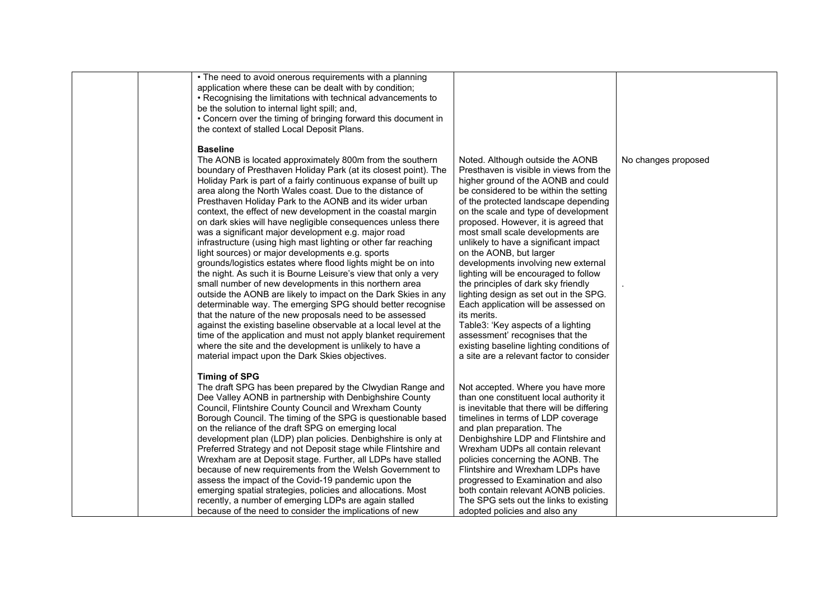| • The need to avoid onerous requirements with a planning<br>application where these can be dealt with by condition;<br>• Recognising the limitations with technical advancements to<br>be the solution to internal light spill; and,<br>• Concern over the timing of bringing forward this document in<br>the context of stalled Local Deposit Plans.                                                                                                                                                                                                                                                                                                                                                                                                                                                                                                                                                                                                                                                                                                                                                                                                                                                                                                                                                |                                                                                                                                                                                                                                                                                                                                                                                                                                                                                                                                                                                                                                                                                                                                                                                        |                     |
|------------------------------------------------------------------------------------------------------------------------------------------------------------------------------------------------------------------------------------------------------------------------------------------------------------------------------------------------------------------------------------------------------------------------------------------------------------------------------------------------------------------------------------------------------------------------------------------------------------------------------------------------------------------------------------------------------------------------------------------------------------------------------------------------------------------------------------------------------------------------------------------------------------------------------------------------------------------------------------------------------------------------------------------------------------------------------------------------------------------------------------------------------------------------------------------------------------------------------------------------------------------------------------------------------|----------------------------------------------------------------------------------------------------------------------------------------------------------------------------------------------------------------------------------------------------------------------------------------------------------------------------------------------------------------------------------------------------------------------------------------------------------------------------------------------------------------------------------------------------------------------------------------------------------------------------------------------------------------------------------------------------------------------------------------------------------------------------------------|---------------------|
| <b>Baseline</b><br>The AONB is located approximately 800m from the southern<br>boundary of Presthaven Holiday Park (at its closest point). The<br>Holiday Park is part of a fairly continuous expanse of built up<br>area along the North Wales coast. Due to the distance of<br>Presthaven Holiday Park to the AONB and its wider urban<br>context, the effect of new development in the coastal margin<br>on dark skies will have negligible consequences unless there<br>was a significant major development e.g. major road<br>infrastructure (using high mast lighting or other far reaching<br>light sources) or major developments e.g. sports<br>grounds/logistics estates where flood lights might be on into<br>the night. As such it is Bourne Leisure's view that only a very<br>small number of new developments in this northern area<br>outside the AONB are likely to impact on the Dark Skies in any<br>determinable way. The emerging SPG should better recognise<br>that the nature of the new proposals need to be assessed<br>against the existing baseline observable at a local level at the<br>time of the application and must not apply blanket requirement<br>where the site and the development is unlikely to have a<br>material impact upon the Dark Skies objectives. | Noted. Although outside the AONB<br>Presthaven is visible in views from the<br>higher ground of the AONB and could<br>be considered to be within the setting<br>of the protected landscape depending<br>on the scale and type of development<br>proposed. However, it is agreed that<br>most small scale developments are<br>unlikely to have a significant impact<br>on the AONB, but larger<br>developments involving new external<br>lighting will be encouraged to follow<br>the principles of dark sky friendly<br>lighting design as set out in the SPG.<br>Each application will be assessed on<br>its merits.<br>Table3: 'Key aspects of a lighting<br>assessment' recognises that the<br>existing baseline lighting conditions of<br>a site are a relevant factor to consider | No changes proposed |
| <b>Timing of SPG</b><br>The draft SPG has been prepared by the Clwydian Range and<br>Dee Valley AONB in partnership with Denbighshire County<br>Council, Flintshire County Council and Wrexham County<br>Borough Council. The timing of the SPG is questionable based<br>on the reliance of the draft SPG on emerging local<br>development plan (LDP) plan policies. Denbighshire is only at<br>Preferred Strategy and not Deposit stage while Flintshire and<br>Wrexham are at Deposit stage. Further, all LDPs have stalled<br>because of new requirements from the Welsh Government to<br>assess the impact of the Covid-19 pandemic upon the<br>emerging spatial strategies, policies and allocations. Most<br>recently, a number of emerging LDPs are again stalled<br>because of the need to consider the implications of new                                                                                                                                                                                                                                                                                                                                                                                                                                                                  | Not accepted. Where you have more<br>than one constituent local authority it<br>is inevitable that there will be differing<br>timelines in terms of LDP coverage<br>and plan preparation. The<br>Denbighshire LDP and Flintshire and<br>Wrexham UDPs all contain relevant<br>policies concerning the AONB. The<br>Flintshire and Wrexham LDPs have<br>progressed to Examination and also<br>both contain relevant AONB policies.<br>The SPG sets out the links to existing<br>adopted policies and also any                                                                                                                                                                                                                                                                            |                     |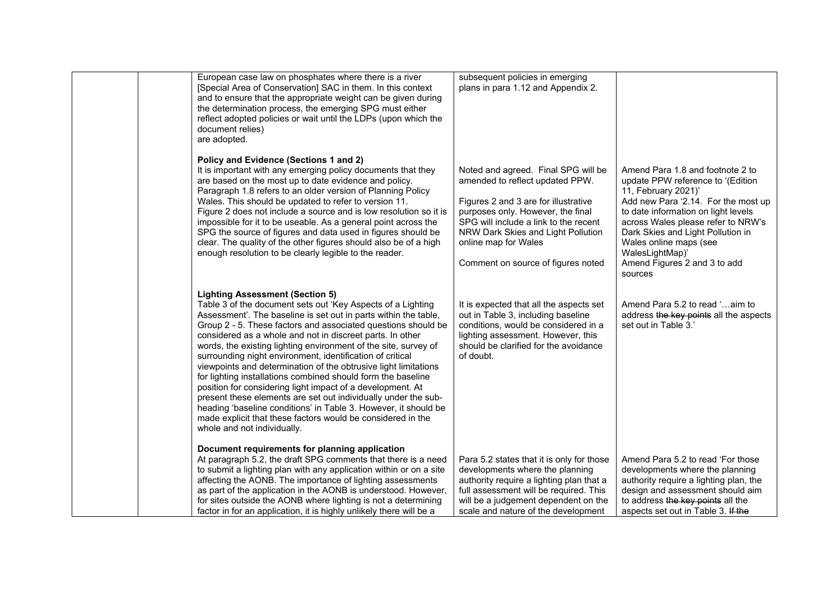| European case law on phosphates where there is a river<br>[Special Area of Conservation] SAC in them. In this context<br>and to ensure that the appropriate weight can be given during<br>the determination process, the emerging SPG must either<br>reflect adopted policies or wait until the LDPs (upon which the<br>document relies)<br>are adopted.                                                                                                                                                                                                                                                                                                                                                                                                                                                                                                                   | subsequent policies in emerging<br>plans in para 1.12 and Appendix 2.                                                                                                                                                                                                                            |                                                                                                                                                                                                                                                                                                                                               |
|----------------------------------------------------------------------------------------------------------------------------------------------------------------------------------------------------------------------------------------------------------------------------------------------------------------------------------------------------------------------------------------------------------------------------------------------------------------------------------------------------------------------------------------------------------------------------------------------------------------------------------------------------------------------------------------------------------------------------------------------------------------------------------------------------------------------------------------------------------------------------|--------------------------------------------------------------------------------------------------------------------------------------------------------------------------------------------------------------------------------------------------------------------------------------------------|-----------------------------------------------------------------------------------------------------------------------------------------------------------------------------------------------------------------------------------------------------------------------------------------------------------------------------------------------|
| Policy and Evidence (Sections 1 and 2)<br>It is important with any emerging policy documents that they<br>are based on the most up to date evidence and policy.<br>Paragraph 1.8 refers to an older version of Planning Policy<br>Wales. This should be updated to refer to version 11.<br>Figure 2 does not include a source and is low resolution so it is<br>impossible for it to be useable. As a general point across the<br>SPG the source of figures and data used in figures should be<br>clear. The quality of the other figures should also be of a high<br>enough resolution to be clearly legible to the reader.                                                                                                                                                                                                                                               | Noted and agreed. Final SPG will be<br>amended to reflect updated PPW.<br>Figures 2 and 3 are for illustrative<br>purposes only. However, the final<br>SPG will include a link to the recent<br>NRW Dark Skies and Light Pollution<br>online map for Wales<br>Comment on source of figures noted | Amend Para 1.8 and footnote 2 to<br>update PPW reference to '(Edition<br>11, February 2021)'<br>Add new Para '2.14. For the most up<br>to date information on light levels<br>across Wales please refer to NRW's<br>Dark Skies and Light Pollution in<br>Wales online maps (see<br>WalesLightMap)'<br>Amend Figures 2 and 3 to add<br>sources |
| <b>Lighting Assessment (Section 5)</b><br>Table 3 of the document sets out 'Key Aspects of a Lighting<br>Assessment'. The baseline is set out in parts within the table,<br>Group 2 - 5. These factors and associated questions should be<br>considered as a whole and not in discreet parts. In other<br>words, the existing lighting environment of the site, survey of<br>surrounding night environment, identification of critical<br>viewpoints and determination of the obtrusive light limitations<br>for lighting installations combined should form the baseline<br>position for considering light impact of a development. At<br>present these elements are set out individually under the sub-<br>heading 'baseline conditions' in Table 3. However, it should be<br>made explicit that these factors would be considered in the<br>whole and not individually. | It is expected that all the aspects set<br>out in Table 3, including baseline<br>conditions, would be considered in a<br>lighting assessment. However, this<br>should be clarified for the avoidance<br>of doubt.                                                                                | Amend Para 5.2 to read 'aim to<br>address the key points all the aspects<br>set out in Table 3.'                                                                                                                                                                                                                                              |
| Document requirements for planning application<br>At paragraph 5.2, the draft SPG comments that there is a need<br>to submit a lighting plan with any application within or on a site<br>affecting the AONB. The importance of lighting assessments<br>as part of the application in the AONB is understood. However,<br>for sites outside the AONB where lighting is not a determining<br>factor in for an application, it is highly unlikely there will be a                                                                                                                                                                                                                                                                                                                                                                                                             | Para 5.2 states that it is only for those<br>developments where the planning<br>authority require a lighting plan that a<br>full assessment will be required. This<br>will be a judgement dependent on the<br>scale and nature of the development                                                | Amend Para 5.2 to read 'For those<br>developments where the planning<br>authority require a lighting plan, the<br>design and assessment should aim<br>to address the key points all the<br>aspects set out in Table 3. If the                                                                                                                 |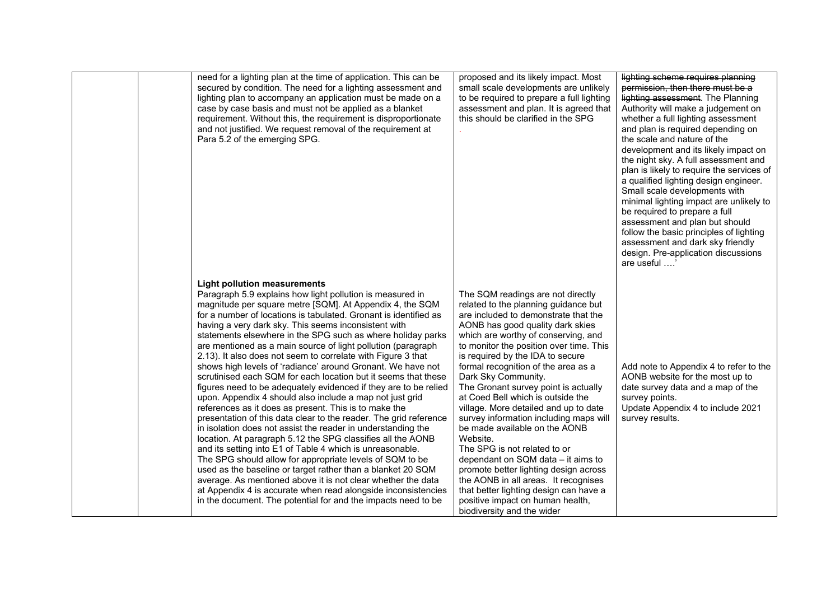| need for a lighting plan at the time of application. This can be<br>secured by condition. The need for a lighting assessment and<br>lighting plan to accompany an application must be made on a<br>case by case basis and must not be applied as a blanket<br>requirement. Without this, the requirement is disproportionate<br>and not justified. We request removal of the requirement at<br>Para 5.2 of the emerging SPG.                                                                                                                                                                                                                                                                                                                                                                                                                                                                                                                                                                                                                                                                                                                                                                                                                                                                                                                                                                                    | proposed and its likely impact. Most<br>small scale developments are unlikely<br>to be required to prepare a full lighting<br>assessment and plan. It is agreed that<br>this should be clarified in the SPG                                                                                                                                                                                                                                                                                                                                                                                                                                                                                                                                                                                                               | lighting scheme requires planning<br>permission, then there must be a<br>lighting assessment. The Planning<br>Authority will make a judgement on<br>whether a full lighting assessment<br>and plan is required depending on<br>the scale and nature of the<br>development and its likely impact on<br>the night sky. A full assessment and<br>plan is likely to require the services of<br>a qualified lighting design engineer.<br>Small scale developments with<br>minimal lighting impact are unlikely to<br>be required to prepare a full<br>assessment and plan but should<br>follow the basic principles of lighting<br>assessment and dark sky friendly<br>design. Pre-application discussions<br>are useful ' |
|-----------------------------------------------------------------------------------------------------------------------------------------------------------------------------------------------------------------------------------------------------------------------------------------------------------------------------------------------------------------------------------------------------------------------------------------------------------------------------------------------------------------------------------------------------------------------------------------------------------------------------------------------------------------------------------------------------------------------------------------------------------------------------------------------------------------------------------------------------------------------------------------------------------------------------------------------------------------------------------------------------------------------------------------------------------------------------------------------------------------------------------------------------------------------------------------------------------------------------------------------------------------------------------------------------------------------------------------------------------------------------------------------------------------|---------------------------------------------------------------------------------------------------------------------------------------------------------------------------------------------------------------------------------------------------------------------------------------------------------------------------------------------------------------------------------------------------------------------------------------------------------------------------------------------------------------------------------------------------------------------------------------------------------------------------------------------------------------------------------------------------------------------------------------------------------------------------------------------------------------------------|-----------------------------------------------------------------------------------------------------------------------------------------------------------------------------------------------------------------------------------------------------------------------------------------------------------------------------------------------------------------------------------------------------------------------------------------------------------------------------------------------------------------------------------------------------------------------------------------------------------------------------------------------------------------------------------------------------------------------|
| <b>Light pollution measurements</b><br>Paragraph 5.9 explains how light pollution is measured in<br>magnitude per square metre [SQM]. At Appendix 4, the SQM<br>for a number of locations is tabulated. Gronant is identified as<br>having a very dark sky. This seems inconsistent with<br>statements elsewhere in the SPG such as where holiday parks<br>are mentioned as a main source of light pollution (paragraph<br>2.13). It also does not seem to correlate with Figure 3 that<br>shows high levels of 'radiance' around Gronant. We have not<br>scrutinised each SQM for each location but it seems that these<br>figures need to be adequately evidenced if they are to be relied<br>upon. Appendix 4 should also include a map not just grid<br>references as it does as present. This is to make the<br>presentation of this data clear to the reader. The grid reference<br>in isolation does not assist the reader in understanding the<br>location. At paragraph 5.12 the SPG classifies all the AONB<br>and its setting into E1 of Table 4 which is unreasonable.<br>The SPG should allow for appropriate levels of SQM to be<br>used as the baseline or target rather than a blanket 20 SQM<br>average. As mentioned above it is not clear whether the data<br>at Appendix 4 is accurate when read alongside inconsistencies<br>in the document. The potential for and the impacts need to be | The SQM readings are not directly<br>related to the planning guidance but<br>are included to demonstrate that the<br>AONB has good quality dark skies<br>which are worthy of conserving, and<br>to monitor the position over time. This<br>is required by the IDA to secure<br>formal recognition of the area as a<br>Dark Sky Community.<br>The Gronant survey point is actually<br>at Coed Bell which is outside the<br>village. More detailed and up to date<br>survey information including maps will<br>be made available on the AONB<br>Website.<br>The SPG is not related to or<br>dependant on SQM data - it aims to<br>promote better lighting design across<br>the AONB in all areas. It recognises<br>that better lighting design can have a<br>positive impact on human health,<br>biodiversity and the wider | Add note to Appendix 4 to refer to the<br>AONB website for the most up to<br>date survey data and a map of the<br>survey points.<br>Update Appendix 4 to include 2021<br>survey results.                                                                                                                                                                                                                                                                                                                                                                                                                                                                                                                              |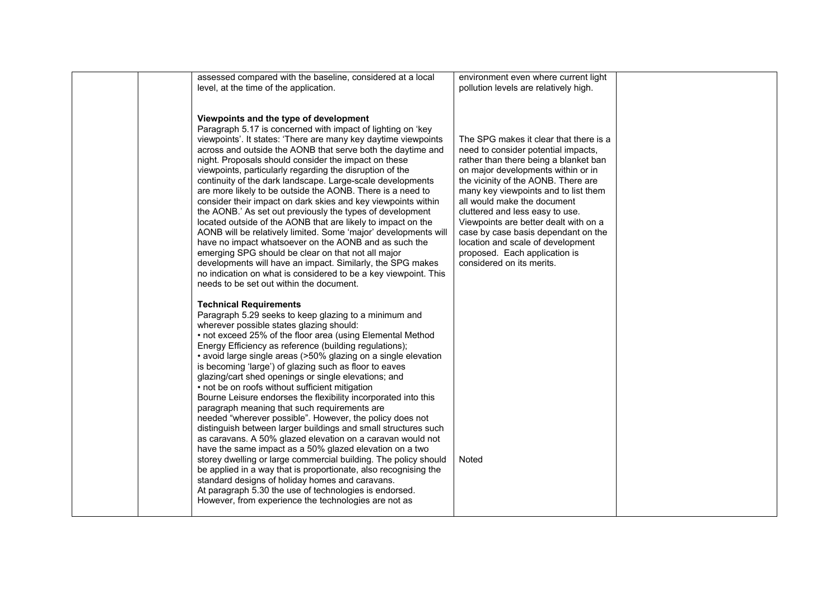| assessed compared with the baseline, considered at a local      | environment even where current light   |  |
|-----------------------------------------------------------------|----------------------------------------|--|
| level, at the time of the application.                          | pollution levels are relatively high.  |  |
|                                                                 |                                        |  |
|                                                                 |                                        |  |
| Viewpoints and the type of development                          |                                        |  |
| Paragraph 5.17 is concerned with impact of lighting on 'key     |                                        |  |
| viewpoints'. It states: 'There are many key daytime viewpoints  | The SPG makes it clear that there is a |  |
| across and outside the AONB that serve both the daytime and     | need to consider potential impacts,    |  |
| night. Proposals should consider the impact on these            | rather than there being a blanket ban  |  |
| viewpoints, particularly regarding the disruption of the        | on major developments within or in     |  |
| continuity of the dark landscape. Large-scale developments      | the vicinity of the AONB. There are    |  |
| are more likely to be outside the AONB. There is a need to      | many key viewpoints and to list them   |  |
| consider their impact on dark skies and key viewpoints within   | all would make the document            |  |
| the AONB.' As set out previously the types of development       | cluttered and less easy to use.        |  |
| located outside of the AONB that are likely to impact on the    | Viewpoints are better dealt with on a  |  |
| AONB will be relatively limited. Some 'major' developments will | case by case basis dependant on the    |  |
| have no impact whatsoever on the AONB and as such the           | location and scale of development      |  |
| emerging SPG should be clear on that not all major              | proposed. Each application is          |  |
| developments will have an impact. Similarly, the SPG makes      | considered on its merits.              |  |
| no indication on what is considered to be a key viewpoint. This |                                        |  |
| needs to be set out within the document.                        |                                        |  |
|                                                                 |                                        |  |
| <b>Technical Requirements</b>                                   |                                        |  |
| Paragraph 5.29 seeks to keep glazing to a minimum and           |                                        |  |
| wherever possible states glazing should:                        |                                        |  |
| • not exceed 25% of the floor area (using Elemental Method      |                                        |  |
| Energy Efficiency as reference (building regulations);          |                                        |  |
| • avoid large single areas (>50% glazing on a single elevation  |                                        |  |
| is becoming 'large') of glazing such as floor to eaves          |                                        |  |
| glazing/cart shed openings or single elevations; and            |                                        |  |
| • not be on roofs without sufficient mitigation                 |                                        |  |
| Bourne Leisure endorses the flexibility incorporated into this  |                                        |  |
| paragraph meaning that such requirements are                    |                                        |  |
| needed "wherever possible". However, the policy does not        |                                        |  |
| distinguish between larger buildings and small structures such  |                                        |  |
| as caravans. A 50% glazed elevation on a caravan would not      |                                        |  |
| have the same impact as a 50% glazed elevation on a two         |                                        |  |
| storey dwelling or large commercial building. The policy should | Noted                                  |  |
| be applied in a way that is proportionate, also recognising the |                                        |  |
| standard designs of holiday homes and caravans.                 |                                        |  |
| At paragraph 5.30 the use of technologies is endorsed.          |                                        |  |
| However, from experience the technologies are not as            |                                        |  |
|                                                                 |                                        |  |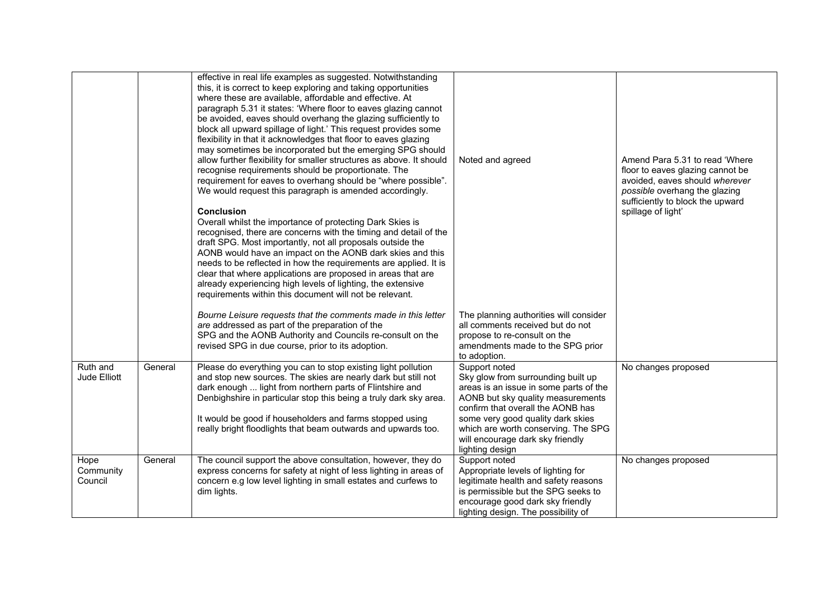|                              |         | effective in real life examples as suggested. Notwithstanding<br>this, it is correct to keep exploring and taking opportunities<br>where these are available, affordable and effective. At<br>paragraph 5.31 it states: 'Where floor to eaves glazing cannot<br>be avoided, eaves should overhang the glazing sufficiently to<br>block all upward spillage of light.' This request provides some<br>flexibility in that it acknowledges that floor to eaves glazing<br>may sometimes be incorporated but the emerging SPG should<br>allow further flexibility for smaller structures as above. It should<br>recognise requirements should be proportionate. The<br>requirement for eaves to overhang should be "where possible".<br>We would request this paragraph is amended accordingly. | Noted and agreed                                                                                                                                                                                                                                                                                           | Amend Para 5.31 to read 'Where<br>floor to eaves glazing cannot be<br>avoided, eaves should wherever<br>possible overhang the glazing |
|------------------------------|---------|---------------------------------------------------------------------------------------------------------------------------------------------------------------------------------------------------------------------------------------------------------------------------------------------------------------------------------------------------------------------------------------------------------------------------------------------------------------------------------------------------------------------------------------------------------------------------------------------------------------------------------------------------------------------------------------------------------------------------------------------------------------------------------------------|------------------------------------------------------------------------------------------------------------------------------------------------------------------------------------------------------------------------------------------------------------------------------------------------------------|---------------------------------------------------------------------------------------------------------------------------------------|
|                              |         | Conclusion<br>Overall whilst the importance of protecting Dark Skies is<br>recognised, there are concerns with the timing and detail of the<br>draft SPG. Most importantly, not all proposals outside the<br>AONB would have an impact on the AONB dark skies and this<br>needs to be reflected in how the requirements are applied. It is<br>clear that where applications are proposed in areas that are<br>already experiencing high levels of lighting, the extensive<br>requirements within this document will not be relevant.                                                                                                                                                                                                                                                        |                                                                                                                                                                                                                                                                                                            | sufficiently to block the upward<br>spillage of light'                                                                                |
|                              |         | Bourne Leisure requests that the comments made in this letter<br>are addressed as part of the preparation of the<br>SPG and the AONB Authority and Councils re-consult on the<br>revised SPG in due course, prior to its adoption.                                                                                                                                                                                                                                                                                                                                                                                                                                                                                                                                                          | The planning authorities will consider<br>all comments received but do not<br>propose to re-consult on the<br>amendments made to the SPG prior<br>to adoption.                                                                                                                                             |                                                                                                                                       |
| Ruth and<br>Jude Elliott     | General | Please do everything you can to stop existing light pollution<br>and stop new sources. The skies are nearly dark but still not<br>dark enough  light from northern parts of Flintshire and<br>Denbighshire in particular stop this being a truly dark sky area.<br>It would be good if householders and farms stopped using<br>really bright floodlights that beam outwards and upwards too.                                                                                                                                                                                                                                                                                                                                                                                                | Support noted<br>Sky glow from surrounding built up<br>areas is an issue in some parts of the<br>AONB but sky quality measurements<br>confirm that overall the AONB has<br>some very good quality dark skies<br>which are worth conserving. The SPG<br>will encourage dark sky friendly<br>lighting design | No changes proposed                                                                                                                   |
| Hope<br>Community<br>Council | General | The council support the above consultation, however, they do<br>express concerns for safety at night of less lighting in areas of<br>concern e.g low level lighting in small estates and curfews to<br>dim lights.                                                                                                                                                                                                                                                                                                                                                                                                                                                                                                                                                                          | Support noted<br>Appropriate levels of lighting for<br>legitimate health and safety reasons<br>is permissible but the SPG seeks to<br>encourage good dark sky friendly<br>lighting design. The possibility of                                                                                              | No changes proposed                                                                                                                   |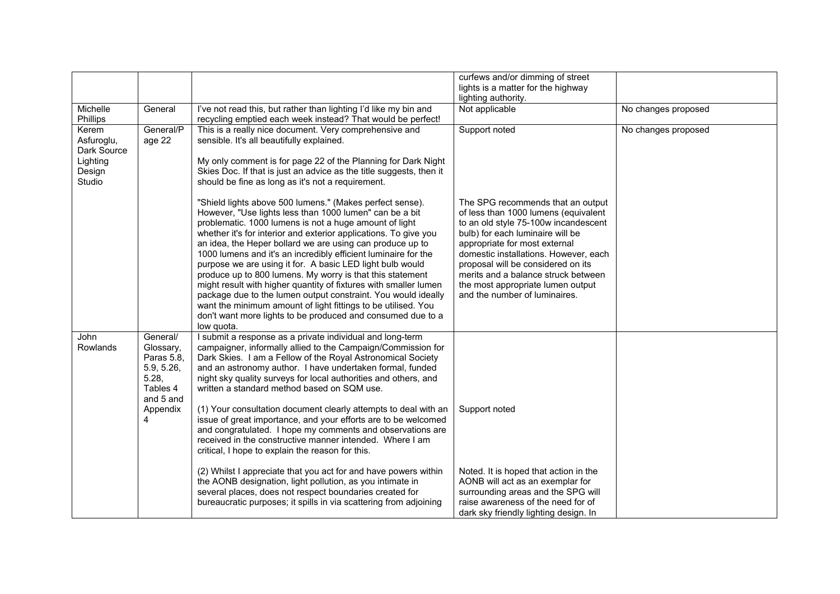|                                                                    |                                                                                                      |                                                                                                                                                                                                                                                                                                                                                                                                                                                                                                                                                                                                                                                                                            | curfews and/or dimming of street<br>lights is a matter for the highway                                                                                                                                                                                                                                |                     |
|--------------------------------------------------------------------|------------------------------------------------------------------------------------------------------|--------------------------------------------------------------------------------------------------------------------------------------------------------------------------------------------------------------------------------------------------------------------------------------------------------------------------------------------------------------------------------------------------------------------------------------------------------------------------------------------------------------------------------------------------------------------------------------------------------------------------------------------------------------------------------------------|-------------------------------------------------------------------------------------------------------------------------------------------------------------------------------------------------------------------------------------------------------------------------------------------------------|---------------------|
|                                                                    |                                                                                                      |                                                                                                                                                                                                                                                                                                                                                                                                                                                                                                                                                                                                                                                                                            | lighting authority.                                                                                                                                                                                                                                                                                   |                     |
| Michelle<br>Phillips                                               | General                                                                                              | I've not read this, but rather than lighting I'd like my bin and<br>recycling emptied each week instead? That would be perfect!                                                                                                                                                                                                                                                                                                                                                                                                                                                                                                                                                            | Not applicable                                                                                                                                                                                                                                                                                        | No changes proposed |
| Kerem<br>Asfuroglu,<br>Dark Source<br>Lighting<br>Design<br>Studio | General/P<br>age 22                                                                                  | This is a really nice document. Very comprehensive and<br>sensible. It's all beautifully explained.<br>My only comment is for page 22 of the Planning for Dark Night<br>Skies Doc. If that is just an advice as the title suggests, then it<br>should be fine as long as it's not a requirement.<br>"Shield lights above 500 lumens." (Makes perfect sense).<br>However, "Use lights less than 1000 lumen" can be a bit                                                                                                                                                                                                                                                                    | Support noted<br>The SPG recommends that an output<br>of less than 1000 lumens (equivalent                                                                                                                                                                                                            | No changes proposed |
|                                                                    |                                                                                                      | problematic. 1000 lumens is not a huge amount of light<br>whether it's for interior and exterior applications. To give you<br>an idea, the Heper bollard we are using can produce up to<br>1000 lumens and it's an incredibly efficient luminaire for the<br>purpose we are using it for. A basic LED light bulb would<br>produce up to 800 lumens. My worry is that this statement<br>might result with higher quantity of fixtures with smaller lumen<br>package due to the lumen output constraint. You would ideally<br>want the minimum amount of light fittings to be utilised. You<br>don't want more lights to be produced and consumed due to a<br>low quota.                     | to an old style 75-100w incandescent<br>bulb) for each luminaire will be<br>appropriate for most external<br>domestic installations. However, each<br>proposal will be considered on its<br>merits and a balance struck between<br>the most appropriate lumen output<br>and the number of luminaires. |                     |
| John<br><b>Rowlands</b>                                            | General/<br>Glossary,<br>Paras 5.8,<br>5.9, 5.26,<br>5.28,<br>Tables 4<br>and 5 and<br>Appendix<br>4 | I submit a response as a private individual and long-term<br>campaigner, informally allied to the Campaign/Commission for<br>Dark Skies. I am a Fellow of the Royal Astronomical Society<br>and an astronomy author. I have undertaken formal, funded<br>night sky quality surveys for local authorities and others, and<br>written a standard method based on SQM use.<br>(1) Your consultation document clearly attempts to deal with an<br>issue of great importance, and your efforts are to be welcomed<br>and congratulated. I hope my comments and observations are<br>received in the constructive manner intended. Where I am<br>critical, I hope to explain the reason for this. | Support noted                                                                                                                                                                                                                                                                                         |                     |
|                                                                    |                                                                                                      | (2) Whilst I appreciate that you act for and have powers within<br>the AONB designation, light pollution, as you intimate in<br>several places, does not respect boundaries created for<br>bureaucratic purposes; it spills in via scattering from adjoining                                                                                                                                                                                                                                                                                                                                                                                                                               | Noted. It is hoped that action in the<br>AONB will act as an exemplar for<br>surrounding areas and the SPG will<br>raise awareness of the need for of<br>dark sky friendly lighting design. In                                                                                                        |                     |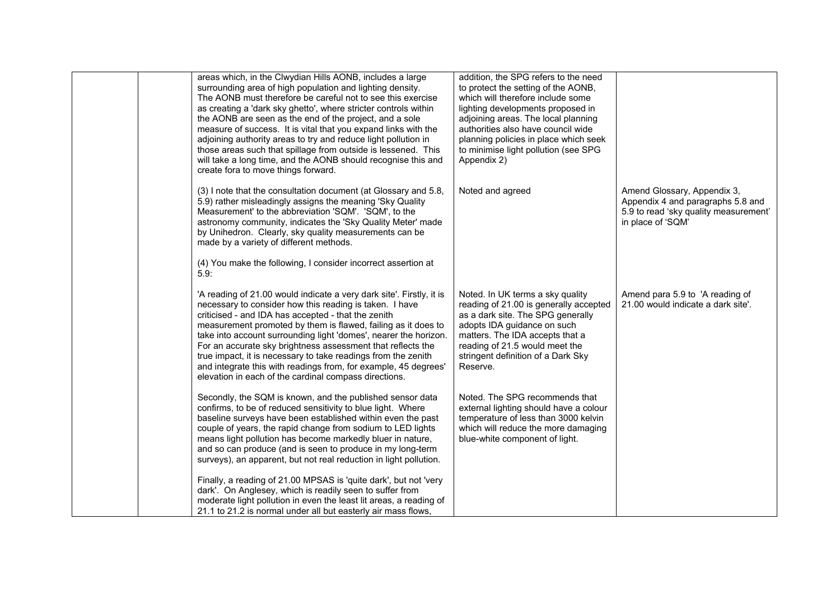| areas which, in the Clwydian Hills AONB, includes a large<br>surrounding area of high population and lighting density.<br>The AONB must therefore be careful not to see this exercise<br>as creating a 'dark sky ghetto', where stricter controls within<br>the AONB are seen as the end of the project, and a sole<br>measure of success. It is vital that you expand links with the<br>adjoining authority areas to try and reduce light pollution in<br>those areas such that spillage from outside is lessened. This<br>will take a long time, and the AONB should recognise this and<br>create fora to move things forward. | addition, the SPG refers to the need<br>to protect the setting of the AONB,<br>which will therefore include some<br>lighting developments proposed in<br>adjoining areas. The local planning<br>authorities also have council wide<br>planning policies in place which seek<br>to minimise light pollution (see SPG<br>Appendix 2) |                                                                                                                                |
|----------------------------------------------------------------------------------------------------------------------------------------------------------------------------------------------------------------------------------------------------------------------------------------------------------------------------------------------------------------------------------------------------------------------------------------------------------------------------------------------------------------------------------------------------------------------------------------------------------------------------------|------------------------------------------------------------------------------------------------------------------------------------------------------------------------------------------------------------------------------------------------------------------------------------------------------------------------------------|--------------------------------------------------------------------------------------------------------------------------------|
| (3) I note that the consultation document (at Glossary and 5.8,<br>5.9) rather misleadingly assigns the meaning 'Sky Quality<br>Measurement' to the abbreviation 'SQM'. 'SQM', to the<br>astronomy community, indicates the 'Sky Quality Meter' made<br>by Unihedron. Clearly, sky quality measurements can be<br>made by a variety of different methods.                                                                                                                                                                                                                                                                        | Noted and agreed                                                                                                                                                                                                                                                                                                                   | Amend Glossary, Appendix 3,<br>Appendix 4 and paragraphs 5.8 and<br>5.9 to read 'sky quality measurement'<br>in place of 'SQM' |
| (4) You make the following, I consider incorrect assertion at<br>5.9:                                                                                                                                                                                                                                                                                                                                                                                                                                                                                                                                                            |                                                                                                                                                                                                                                                                                                                                    |                                                                                                                                |
| 'A reading of 21.00 would indicate a very dark site'. Firstly, it is<br>necessary to consider how this reading is taken. I have<br>criticised - and IDA has accepted - that the zenith<br>measurement promoted by them is flawed, failing as it does to<br>take into account surrounding light 'domes', nearer the horizon.<br>For an accurate sky brightness assessment that reflects the<br>true impact, it is necessary to take readings from the zenith<br>and integrate this with readings from, for example, 45 degrees'<br>elevation in each of the cardinal compass directions.                                          | Noted. In UK terms a sky quality<br>reading of 21.00 is generally accepted<br>as a dark site. The SPG generally<br>adopts IDA guidance on such<br>matters. The IDA accepts that a<br>reading of 21.5 would meet the<br>stringent definition of a Dark Sky<br>Reserve.                                                              | Amend para 5.9 to 'A reading of<br>21.00 would indicate a dark site'.                                                          |
| Secondly, the SQM is known, and the published sensor data<br>confirms, to be of reduced sensitivity to blue light. Where<br>baseline surveys have been established within even the past<br>couple of years, the rapid change from sodium to LED lights<br>means light pollution has become markedly bluer in nature,<br>and so can produce (and is seen to produce in my long-term<br>surveys), an apparent, but not real reduction in light pollution.                                                                                                                                                                          | Noted. The SPG recommends that<br>external lighting should have a colour<br>temperature of less than 3000 kelvin<br>which will reduce the more damaging<br>blue-white component of light.                                                                                                                                          |                                                                                                                                |
| Finally, a reading of 21.00 MPSAS is 'quite dark', but not 'very<br>dark'. On Anglesey, which is readily seen to suffer from<br>moderate light pollution in even the least lit areas, a reading of<br>21.1 to 21.2 is normal under all but easterly air mass flows,                                                                                                                                                                                                                                                                                                                                                              |                                                                                                                                                                                                                                                                                                                                    |                                                                                                                                |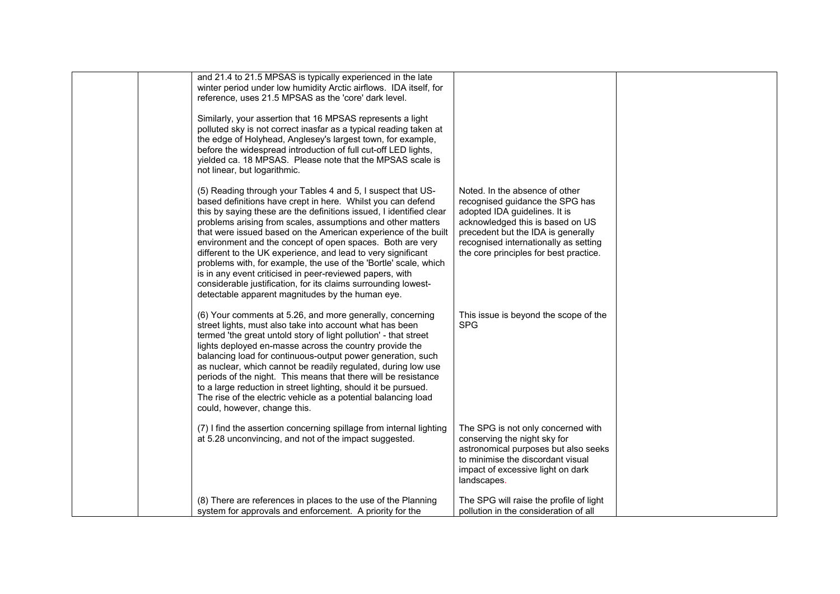| and 21.4 to 21.5 MPSAS is typically experienced in the late<br>winter period under low humidity Arctic airflows. IDA itself, for<br>reference, uses 21.5 MPSAS as the 'core' dark level.<br>Similarly, your assertion that 16 MPSAS represents a light<br>polluted sky is not correct inasfar as a typical reading taken at<br>the edge of Holyhead, Anglesey's largest town, for example,<br>before the widespread introduction of full cut-off LED lights,<br>yielded ca. 18 MPSAS. Please note that the MPSAS scale is<br>not linear, but logarithmic.<br>(5) Reading through your Tables 4 and 5, I suspect that US-<br>based definitions have crept in here. Whilst you can defend<br>this by saying these are the definitions issued, I identified clear<br>problems arising from scales, assumptions and other matters<br>that were issued based on the American experience of the built | Noted. In the absence of other<br>recognised guidance the SPG has<br>adopted IDA guidelines. It is<br>acknowledged this is based on US<br>precedent but the IDA is generally                        |  |
|-------------------------------------------------------------------------------------------------------------------------------------------------------------------------------------------------------------------------------------------------------------------------------------------------------------------------------------------------------------------------------------------------------------------------------------------------------------------------------------------------------------------------------------------------------------------------------------------------------------------------------------------------------------------------------------------------------------------------------------------------------------------------------------------------------------------------------------------------------------------------------------------------|-----------------------------------------------------------------------------------------------------------------------------------------------------------------------------------------------------|--|
| environment and the concept of open spaces. Both are very<br>different to the UK experience, and lead to very significant<br>problems with, for example, the use of the 'Bortle' scale, which<br>is in any event criticised in peer-reviewed papers, with<br>considerable justification, for its claims surrounding lowest-<br>detectable apparent magnitudes by the human eye.                                                                                                                                                                                                                                                                                                                                                                                                                                                                                                                 | recognised internationally as setting<br>the core principles for best practice.                                                                                                                     |  |
| (6) Your comments at 5.26, and more generally, concerning<br>street lights, must also take into account what has been<br>termed 'the great untold story of light pollution' - that street<br>lights deployed en-masse across the country provide the<br>balancing load for continuous-output power generation, such<br>as nuclear, which cannot be readily regulated, during low use<br>periods of the night. This means that there will be resistance<br>to a large reduction in street lighting, should it be pursued.<br>The rise of the electric vehicle as a potential balancing load<br>could, however, change this.                                                                                                                                                                                                                                                                      | This issue is beyond the scope of the<br><b>SPG</b>                                                                                                                                                 |  |
| (7) I find the assertion concerning spillage from internal lighting<br>at 5.28 unconvincing, and not of the impact suggested.                                                                                                                                                                                                                                                                                                                                                                                                                                                                                                                                                                                                                                                                                                                                                                   | The SPG is not only concerned with<br>conserving the night sky for<br>astronomical purposes but also seeks<br>to minimise the discordant visual<br>impact of excessive light on dark<br>landscapes. |  |
| (8) There are references in places to the use of the Planning<br>system for approvals and enforcement. A priority for the                                                                                                                                                                                                                                                                                                                                                                                                                                                                                                                                                                                                                                                                                                                                                                       | The SPG will raise the profile of light<br>pollution in the consideration of all                                                                                                                    |  |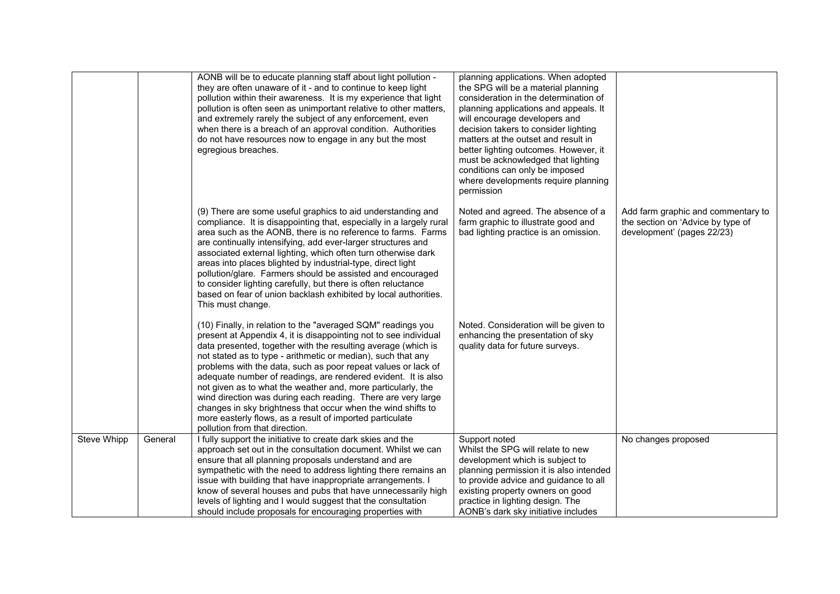|             |         | AONB will be to educate planning staff about light pollution -<br>they are often unaware of it - and to continue to keep light<br>pollution within their awareness. It is my experience that light<br>pollution is often seen as unimportant relative to other matters,<br>and extremely rarely the subject of any enforcement, even<br>when there is a breach of an approval condition. Authorities<br>do not have resources now to engage in any but the most<br>egregious breaches.                                                                                                                                                                                                            | planning applications. When adopted<br>the SPG will be a material planning<br>consideration in the determination of<br>planning applications and appeals. It<br>will encourage developers and<br>decision takers to consider lighting<br>matters at the outset and result in<br>better lighting outcomes. However, it<br>must be acknowledged that lighting<br>conditions can only be imposed<br>where developments require planning<br>permission |                                                                                                       |
|-------------|---------|---------------------------------------------------------------------------------------------------------------------------------------------------------------------------------------------------------------------------------------------------------------------------------------------------------------------------------------------------------------------------------------------------------------------------------------------------------------------------------------------------------------------------------------------------------------------------------------------------------------------------------------------------------------------------------------------------|----------------------------------------------------------------------------------------------------------------------------------------------------------------------------------------------------------------------------------------------------------------------------------------------------------------------------------------------------------------------------------------------------------------------------------------------------|-------------------------------------------------------------------------------------------------------|
|             |         | (9) There are some useful graphics to aid understanding and<br>compliance. It is disappointing that, especially in a largely rural<br>area such as the AONB, there is no reference to farms. Farms<br>are continually intensifying, add ever-larger structures and<br>associated external lighting, which often turn otherwise dark<br>areas into places blighted by industrial-type, direct light<br>pollution/glare. Farmers should be assisted and encouraged<br>to consider lighting carefully, but there is often reluctance<br>based on fear of union backlash exhibited by local authorities.<br>This must change.                                                                         | Noted and agreed. The absence of a<br>farm graphic to illustrate good and<br>bad lighting practice is an omission.                                                                                                                                                                                                                                                                                                                                 | Add farm graphic and commentary to<br>the section on 'Advice by type of<br>development' (pages 22/23) |
|             |         | (10) Finally, in relation to the "averaged SQM" readings you<br>present at Appendix 4, it is disappointing not to see individual<br>data presented, together with the resulting average (which is<br>not stated as to type - arithmetic or median), such that any<br>problems with the data, such as poor repeat values or lack of<br>adequate number of readings, are rendered evident. It is also<br>not given as to what the weather and, more particularly, the<br>wind direction was during each reading. There are very large<br>changes in sky brightness that occur when the wind shifts to<br>more easterly flows, as a result of imported particulate<br>pollution from that direction. | Noted. Consideration will be given to<br>enhancing the presentation of sky<br>quality data for future surveys.                                                                                                                                                                                                                                                                                                                                     |                                                                                                       |
| Steve Whipp | General | I fully support the initiative to create dark skies and the<br>approach set out in the consultation document. Whilst we can<br>ensure that all planning proposals understand and are<br>sympathetic with the need to address lighting there remains an<br>issue with building that have inappropriate arrangements. I<br>know of several houses and pubs that have unnecessarily high<br>levels of lighting and I would suggest that the consultation<br>should include proposals for encouraging properties with                                                                                                                                                                                 | Support noted<br>Whilst the SPG will relate to new<br>development which is subject to<br>planning permission it is also intended<br>to provide advice and guidance to all<br>existing property owners on good<br>practice in lighting design. The<br>AONB's dark sky initiative includes                                                                                                                                                           | No changes proposed                                                                                   |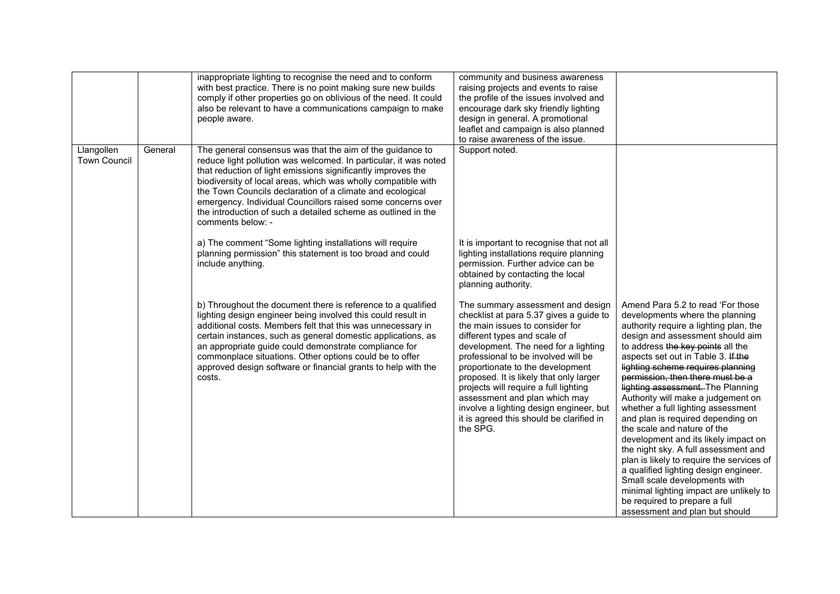|                                   |         | inappropriate lighting to recognise the need and to conform<br>with best practice. There is no point making sure new builds<br>comply if other properties go on oblivious of the need. It could<br>also be relevant to have a communications campaign to make<br>people aware.                                                                                                                                                                                                   | community and business awareness<br>raising projects and events to raise<br>the profile of the issues involved and<br>encourage dark sky friendly lighting<br>design in general. A promotional<br>leaflet and campaign is also planned<br>to raise awareness of the issue.                                                                                                                                                                                                                 |                                                                                                                                                                                                                                                                                                                                                                                                                                                                                                                                                                                                                                                                                                                                                                                                                  |
|-----------------------------------|---------|----------------------------------------------------------------------------------------------------------------------------------------------------------------------------------------------------------------------------------------------------------------------------------------------------------------------------------------------------------------------------------------------------------------------------------------------------------------------------------|--------------------------------------------------------------------------------------------------------------------------------------------------------------------------------------------------------------------------------------------------------------------------------------------------------------------------------------------------------------------------------------------------------------------------------------------------------------------------------------------|------------------------------------------------------------------------------------------------------------------------------------------------------------------------------------------------------------------------------------------------------------------------------------------------------------------------------------------------------------------------------------------------------------------------------------------------------------------------------------------------------------------------------------------------------------------------------------------------------------------------------------------------------------------------------------------------------------------------------------------------------------------------------------------------------------------|
| Llangollen<br><b>Town Council</b> | General | The general consensus was that the aim of the guidance to<br>reduce light pollution was welcomed. In particular, it was noted<br>that reduction of light emissions significantly improves the<br>biodiversity of local areas, which was wholly compatible with<br>the Town Councils declaration of a climate and ecological<br>emergency. Individual Councillors raised some concerns over<br>the introduction of such a detailed scheme as outlined in the<br>comments below: - | Support noted.                                                                                                                                                                                                                                                                                                                                                                                                                                                                             |                                                                                                                                                                                                                                                                                                                                                                                                                                                                                                                                                                                                                                                                                                                                                                                                                  |
|                                   |         | a) The comment "Some lighting installations will require<br>planning permission" this statement is too broad and could<br>include anything.                                                                                                                                                                                                                                                                                                                                      | It is important to recognise that not all<br>lighting installations require planning<br>permission. Further advice can be<br>obtained by contacting the local<br>planning authority.                                                                                                                                                                                                                                                                                                       |                                                                                                                                                                                                                                                                                                                                                                                                                                                                                                                                                                                                                                                                                                                                                                                                                  |
|                                   |         | b) Throughout the document there is reference to a qualified<br>lighting design engineer being involved this could result in<br>additional costs. Members felt that this was unnecessary in<br>certain instances, such as general domestic applications, as<br>an appropriate guide could demonstrate compliance for<br>commonplace situations. Other options could be to offer<br>approved design software or financial grants to help with the<br>costs.                       | The summary assessment and design<br>checklist at para 5.37 gives a guide to<br>the main issues to consider for<br>different types and scale of<br>development. The need for a lighting<br>professional to be involved will be<br>proportionate to the development<br>proposed. It is likely that only larger<br>projects will require a full lighting<br>assessment and plan which may<br>involve a lighting design engineer, but<br>it is agreed this should be clarified in<br>the SPG. | Amend Para 5.2 to read 'For those<br>developments where the planning<br>authority require a lighting plan, the<br>design and assessment should aim<br>to address the key points all the<br>aspects set out in Table 3. If the<br>lighting scheme requires planning<br>permission, then there must be a<br>lighting assessment. The Planning<br>Authority will make a judgement on<br>whether a full lighting assessment<br>and plan is required depending on<br>the scale and nature of the<br>development and its likely impact on<br>the night sky. A full assessment and<br>plan is likely to require the services of<br>a qualified lighting design engineer.<br>Small scale developments with<br>minimal lighting impact are unlikely to<br>be required to prepare a full<br>assessment and plan but should |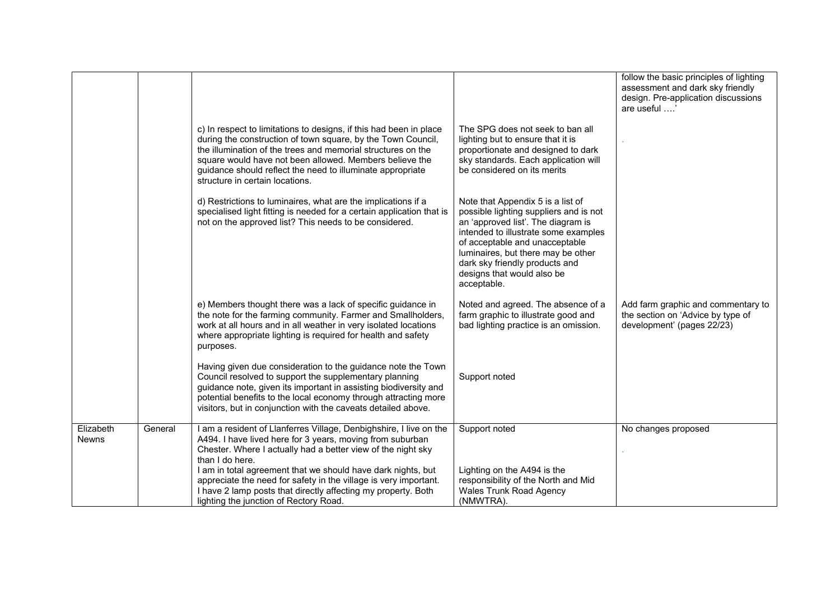|                           |         |                                                                                                                                                                                                                                                                                                                                                                |                                                                                                                                                                                                                                                                                                                  | follow the basic principles of lighting<br>assessment and dark sky friendly<br>design. Pre-application discussions<br>are useful ' |
|---------------------------|---------|----------------------------------------------------------------------------------------------------------------------------------------------------------------------------------------------------------------------------------------------------------------------------------------------------------------------------------------------------------------|------------------------------------------------------------------------------------------------------------------------------------------------------------------------------------------------------------------------------------------------------------------------------------------------------------------|------------------------------------------------------------------------------------------------------------------------------------|
|                           |         | c) In respect to limitations to designs, if this had been in place<br>during the construction of town square, by the Town Council,<br>the illumination of the trees and memorial structures on the<br>square would have not been allowed. Members believe the<br>guidance should reflect the need to illuminate appropriate<br>structure in certain locations. | The SPG does not seek to ban all<br>lighting but to ensure that it is<br>proportionate and designed to dark<br>sky standards. Each application will<br>be considered on its merits                                                                                                                               |                                                                                                                                    |
|                           |         | d) Restrictions to luminaires, what are the implications if a<br>specialised light fitting is needed for a certain application that is<br>not on the approved list? This needs to be considered.                                                                                                                                                               | Note that Appendix 5 is a list of<br>possible lighting suppliers and is not<br>an 'approved list'. The diagram is<br>intended to illustrate some examples<br>of acceptable and unacceptable<br>luminaires, but there may be other<br>dark sky friendly products and<br>designs that would also be<br>acceptable. |                                                                                                                                    |
|                           |         | e) Members thought there was a lack of specific guidance in<br>the note for the farming community. Farmer and Smallholders,<br>work at all hours and in all weather in very isolated locations<br>where appropriate lighting is required for health and safety<br>purposes.                                                                                    | Noted and agreed. The absence of a<br>farm graphic to illustrate good and<br>bad lighting practice is an omission.                                                                                                                                                                                               | Add farm graphic and commentary to<br>the section on 'Advice by type of<br>development' (pages 22/23)                              |
|                           |         | Having given due consideration to the guidance note the Town<br>Council resolved to support the supplementary planning<br>guidance note, given its important in assisting biodiversity and<br>potential benefits to the local economy through attracting more<br>visitors, but in conjunction with the caveats detailed above.                                 | Support noted                                                                                                                                                                                                                                                                                                    |                                                                                                                                    |
| Elizabeth<br><b>Newns</b> | General | I am a resident of Llanferres Village, Denbighshire, I live on the<br>A494. I have lived here for 3 years, moving from suburban<br>Chester. Where I actually had a better view of the night sky<br>than I do here.                                                                                                                                             | Support noted                                                                                                                                                                                                                                                                                                    | No changes proposed                                                                                                                |
|                           |         | I am in total agreement that we should have dark nights, but<br>appreciate the need for safety in the village is very important.<br>I have 2 lamp posts that directly affecting my property. Both<br>lighting the junction of Rectory Road.                                                                                                                    | Lighting on the A494 is the<br>responsibility of the North and Mid<br><b>Wales Trunk Road Agency</b><br>(NMWTRA).                                                                                                                                                                                                |                                                                                                                                    |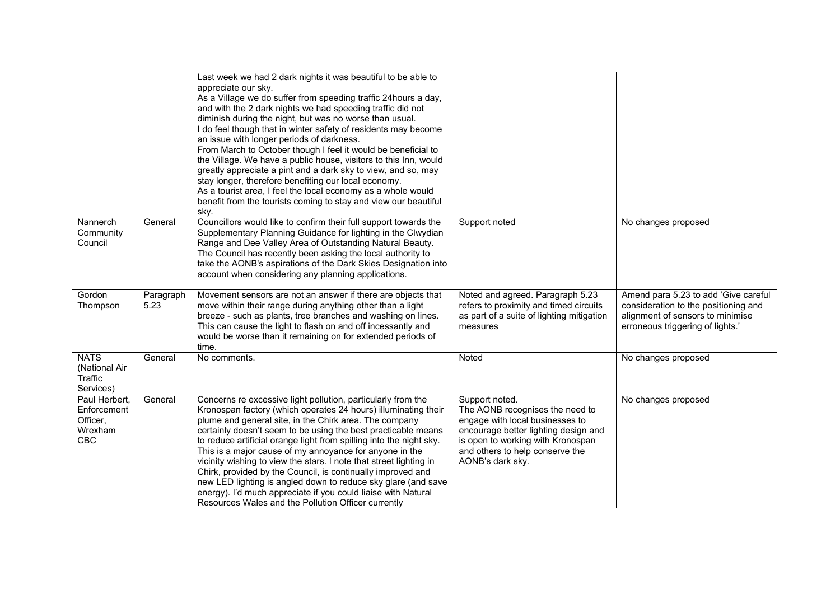|                                                                   |                   | Last week we had 2 dark nights it was beautiful to be able to<br>appreciate our sky.<br>As a Village we do suffer from speeding traffic 24hours a day,<br>and with the 2 dark nights we had speeding traffic did not<br>diminish during the night, but was no worse than usual.<br>I do feel though that in winter safety of residents may become<br>an issue with longer periods of darkness.<br>From March to October though I feel it would be beneficial to<br>the Village. We have a public house, visitors to this Inn, would<br>greatly appreciate a pint and a dark sky to view, and so, may<br>stay longer, therefore benefiting our local economy.<br>As a tourist area, I feel the local economy as a whole would<br>benefit from the tourists coming to stay and view our beautiful<br>sky. |                                                                                                                                                                                                                          |                                                                                                                                                      |
|-------------------------------------------------------------------|-------------------|---------------------------------------------------------------------------------------------------------------------------------------------------------------------------------------------------------------------------------------------------------------------------------------------------------------------------------------------------------------------------------------------------------------------------------------------------------------------------------------------------------------------------------------------------------------------------------------------------------------------------------------------------------------------------------------------------------------------------------------------------------------------------------------------------------|--------------------------------------------------------------------------------------------------------------------------------------------------------------------------------------------------------------------------|------------------------------------------------------------------------------------------------------------------------------------------------------|
| Nannerch<br>Community<br>Council                                  | General           | Councillors would like to confirm their full support towards the<br>Supplementary Planning Guidance for lighting in the Clwydian<br>Range and Dee Valley Area of Outstanding Natural Beauty.<br>The Council has recently been asking the local authority to<br>take the AONB's aspirations of the Dark Skies Designation into<br>account when considering any planning applications.                                                                                                                                                                                                                                                                                                                                                                                                                    | Support noted                                                                                                                                                                                                            | No changes proposed                                                                                                                                  |
| Gordon<br>Thompson                                                | Paragraph<br>5.23 | Movement sensors are not an answer if there are objects that<br>move within their range during anything other than a light<br>breeze - such as plants, tree branches and washing on lines.<br>This can cause the light to flash on and off incessantly and<br>would be worse than it remaining on for extended periods of<br>time.                                                                                                                                                                                                                                                                                                                                                                                                                                                                      | Noted and agreed. Paragraph 5.23<br>refers to proximity and timed circuits<br>as part of a suite of lighting mitigation<br>measures                                                                                      | Amend para 5.23 to add 'Give careful<br>consideration to the positioning and<br>alignment of sensors to minimise<br>erroneous triggering of lights.' |
| <b>NATS</b><br>(National Air<br>Traffic<br>Services)              | General           | No comments.                                                                                                                                                                                                                                                                                                                                                                                                                                                                                                                                                                                                                                                                                                                                                                                            | Noted                                                                                                                                                                                                                    | No changes proposed                                                                                                                                  |
| Paul Herbert,<br>Enforcement<br>Officer,<br>Wrexham<br><b>CBC</b> | General           | Concerns re excessive light pollution, particularly from the<br>Kronospan factory (which operates 24 hours) illuminating their<br>plume and general site, in the Chirk area. The company<br>certainly doesn't seem to be using the best practicable means<br>to reduce artificial orange light from spilling into the night sky.<br>This is a major cause of my annoyance for anyone in the<br>vicinity wishing to view the stars. I note that street lighting in<br>Chirk, provided by the Council, is continually improved and<br>new LED lighting is angled down to reduce sky glare (and save<br>energy). I'd much appreciate if you could liaise with Natural<br>Resources Wales and the Pollution Officer currently                                                                               | Support noted.<br>The AONB recognises the need to<br>engage with local businesses to<br>encourage better lighting design and<br>is open to working with Kronospan<br>and others to help conserve the<br>AONB's dark sky. | No changes proposed                                                                                                                                  |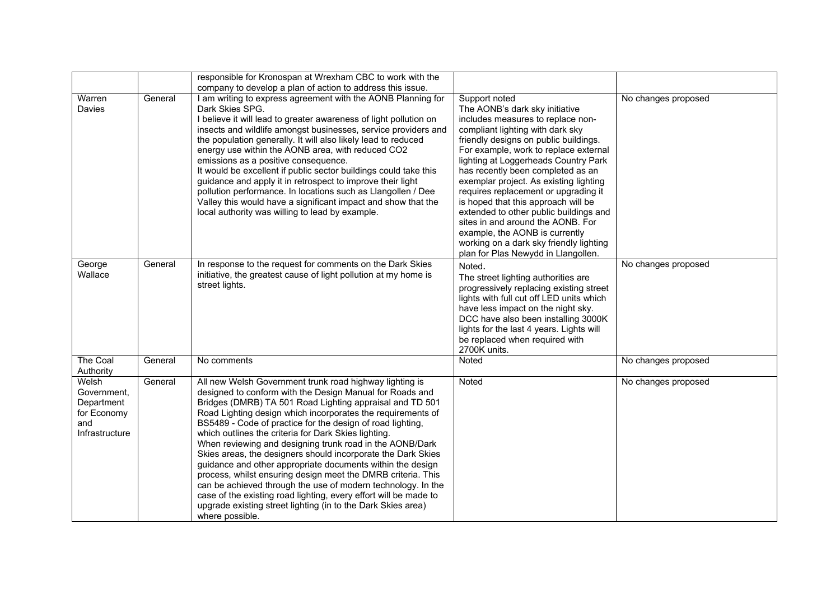|                                                                            |         | responsible for Kronospan at Wrexham CBC to work with the<br>company to develop a plan of action to address this issue.                                                                                                                                                                                                                                                                                                                                                                                                                                                                                                                                                                                                                                                                                                                               |                                                                                                                                                                                                                                                                                                                                                                                                                                                                                                                                                                                                                     |                     |
|----------------------------------------------------------------------------|---------|-------------------------------------------------------------------------------------------------------------------------------------------------------------------------------------------------------------------------------------------------------------------------------------------------------------------------------------------------------------------------------------------------------------------------------------------------------------------------------------------------------------------------------------------------------------------------------------------------------------------------------------------------------------------------------------------------------------------------------------------------------------------------------------------------------------------------------------------------------|---------------------------------------------------------------------------------------------------------------------------------------------------------------------------------------------------------------------------------------------------------------------------------------------------------------------------------------------------------------------------------------------------------------------------------------------------------------------------------------------------------------------------------------------------------------------------------------------------------------------|---------------------|
| Warren<br><b>Davies</b>                                                    | General | I am writing to express agreement with the AONB Planning for<br>Dark Skies SPG.<br>I believe it will lead to greater awareness of light pollution on<br>insects and wildlife amongst businesses, service providers and<br>the population generally. It will also likely lead to reduced<br>energy use within the AONB area, with reduced CO2<br>emissions as a positive consequence.<br>It would be excellent if public sector buildings could take this<br>guidance and apply it in retrospect to improve their light<br>pollution performance. In locations such as Llangollen / Dee<br>Valley this would have a significant impact and show that the<br>local authority was willing to lead by example.                                                                                                                                            | Support noted<br>The AONB's dark sky initiative<br>includes measures to replace non-<br>compliant lighting with dark sky<br>friendly designs on public buildings.<br>For example, work to replace external<br>lighting at Loggerheads Country Park<br>has recently been completed as an<br>exemplar project. As existing lighting<br>requires replacement or upgrading it<br>is hoped that this approach will be<br>extended to other public buildings and<br>sites in and around the AONB. For<br>example, the AONB is currently<br>working on a dark sky friendly lighting<br>plan for Plas Newydd in Llangollen. | No changes proposed |
| George<br>Wallace                                                          | General | In response to the request for comments on the Dark Skies<br>initiative, the greatest cause of light pollution at my home is<br>street lights.                                                                                                                                                                                                                                                                                                                                                                                                                                                                                                                                                                                                                                                                                                        | Noted.<br>The street lighting authorities are<br>progressively replacing existing street<br>lights with full cut off LED units which<br>have less impact on the night sky.<br>DCC have also been installing 3000K<br>lights for the last 4 years. Lights will<br>be replaced when required with<br>2700K units.                                                                                                                                                                                                                                                                                                     | No changes proposed |
| The Coal<br>Authority                                                      | General | No comments                                                                                                                                                                                                                                                                                                                                                                                                                                                                                                                                                                                                                                                                                                                                                                                                                                           | Noted                                                                                                                                                                                                                                                                                                                                                                                                                                                                                                                                                                                                               | No changes proposed |
| Welsh<br>Government,<br>Department<br>for Economy<br>and<br>Infrastructure | General | All new Welsh Government trunk road highway lighting is<br>designed to conform with the Design Manual for Roads and<br>Bridges (DMRB) TA 501 Road Lighting appraisal and TD 501<br>Road Lighting design which incorporates the requirements of<br>BS5489 - Code of practice for the design of road lighting,<br>which outlines the criteria for Dark Skies lighting.<br>When reviewing and designing trunk road in the AONB/Dark<br>Skies areas, the designers should incorporate the Dark Skies<br>guidance and other appropriate documents within the design<br>process, whilst ensuring design meet the DMRB criteria. This<br>can be achieved through the use of modern technology. In the<br>case of the existing road lighting, every effort will be made to<br>upgrade existing street lighting (in to the Dark Skies area)<br>where possible. | Noted                                                                                                                                                                                                                                                                                                                                                                                                                                                                                                                                                                                                               | No changes proposed |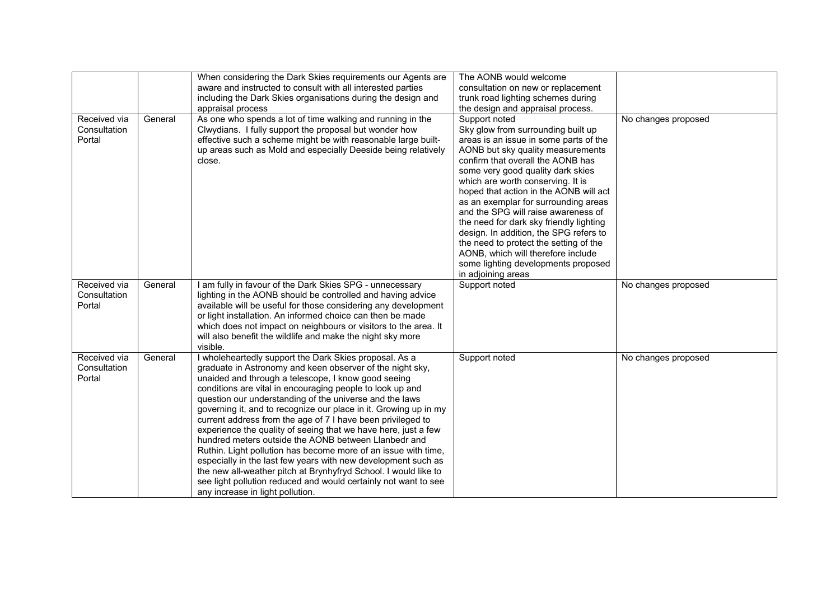|                                        |         | When considering the Dark Skies requirements our Agents are<br>aware and instructed to consult with all interested parties<br>including the Dark Skies organisations during the design and<br>appraisal process                                                                                                                                                                                                                                                                                                                                                                                                                                                                                                                                                                                                                                                              | The AONB would welcome<br>consultation on new or replacement<br>trunk road lighting schemes during<br>the design and appraisal process.                                                                                                                                                                                                                                                                                                                                                                                                                                                                      |                     |
|----------------------------------------|---------|------------------------------------------------------------------------------------------------------------------------------------------------------------------------------------------------------------------------------------------------------------------------------------------------------------------------------------------------------------------------------------------------------------------------------------------------------------------------------------------------------------------------------------------------------------------------------------------------------------------------------------------------------------------------------------------------------------------------------------------------------------------------------------------------------------------------------------------------------------------------------|--------------------------------------------------------------------------------------------------------------------------------------------------------------------------------------------------------------------------------------------------------------------------------------------------------------------------------------------------------------------------------------------------------------------------------------------------------------------------------------------------------------------------------------------------------------------------------------------------------------|---------------------|
| Received via<br>Consultation<br>Portal | General | As one who spends a lot of time walking and running in the<br>Clwydians. I fully support the proposal but wonder how<br>effective such a scheme might be with reasonable large built-<br>up areas such as Mold and especially Deeside being relatively<br>close.                                                                                                                                                                                                                                                                                                                                                                                                                                                                                                                                                                                                             | Support noted<br>Sky glow from surrounding built up<br>areas is an issue in some parts of the<br>AONB but sky quality measurements<br>confirm that overall the AONB has<br>some very good quality dark skies<br>which are worth conserving. It is<br>hoped that action in the AONB will act<br>as an exemplar for surrounding areas<br>and the SPG will raise awareness of<br>the need for dark sky friendly lighting<br>design. In addition, the SPG refers to<br>the need to protect the setting of the<br>AONB, which will therefore include<br>some lighting developments proposed<br>in adjoining areas | No changes proposed |
| Received via<br>Consultation<br>Portal | General | I am fully in favour of the Dark Skies SPG - unnecessary<br>lighting in the AONB should be controlled and having advice<br>available will be useful for those considering any development<br>or light installation. An informed choice can then be made<br>which does not impact on neighbours or visitors to the area. It<br>will also benefit the wildlife and make the night sky more<br>visible.                                                                                                                                                                                                                                                                                                                                                                                                                                                                         | Support noted                                                                                                                                                                                                                                                                                                                                                                                                                                                                                                                                                                                                | No changes proposed |
| Received via<br>Consultation<br>Portal | General | I wholeheartedly support the Dark Skies proposal. As a<br>graduate in Astronomy and keen observer of the night sky,<br>unaided and through a telescope, I know good seeing<br>conditions are vital in encouraging people to look up and<br>question our understanding of the universe and the laws<br>governing it, and to recognize our place in it. Growing up in my<br>current address from the age of 7 I have been privileged to<br>experience the quality of seeing that we have here, just a few<br>hundred meters outside the AONB between Llanbedr and<br>Ruthin. Light pollution has become more of an issue with time,<br>especially in the last few years with new development such as<br>the new all-weather pitch at Brynhyfryd School. I would like to<br>see light pollution reduced and would certainly not want to see<br>any increase in light pollution. | Support noted                                                                                                                                                                                                                                                                                                                                                                                                                                                                                                                                                                                                | No changes proposed |